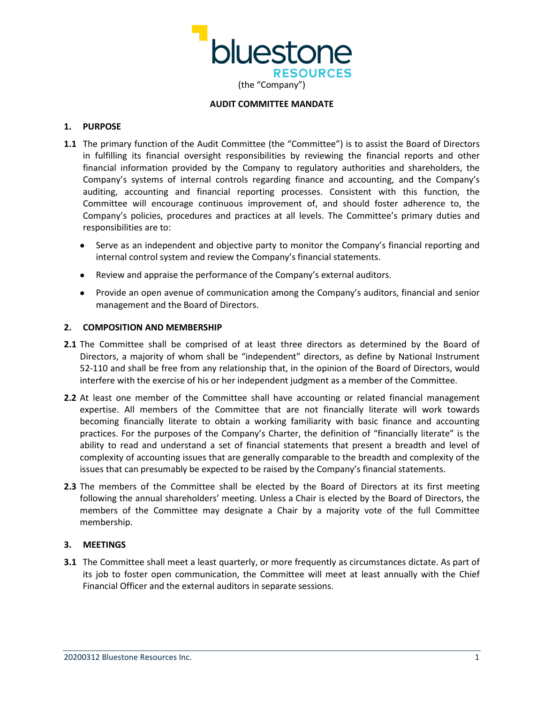

## **AUDIT COMMITTEE MANDATE**

# **1. PURPOSE**

- **1.1** The primary function of the Audit Committee (the "Committee") is to assist the Board of Directors in fulfilling its financial oversight responsibilities by reviewing the financial reports and other financial information provided by the Company to regulatory authorities and shareholders, the Company's systems of internal controls regarding finance and accounting, and the Company's auditing, accounting and financial reporting processes. Consistent with this function, the Committee will encourage continuous improvement of, and should foster adherence to, the Company's policies, procedures and practices at all levels. The Committee's primary duties and responsibilities are to:
	- Serve as an independent and objective party to monitor the Company's financial reporting and internal control system and review the Company's financial statements.
	- Review and appraise the performance of the Company's external auditors.
	- Provide an open avenue of communication among the Company's auditors, financial and senior management and the Board of Directors.

# **2. COMPOSITION AND MEMBERSHIP**

- **2.1** The Committee shall be comprised of at least three directors as determined by the Board of Directors, a majority of whom shall be "independent" directors, as define by National Instrument 52-110 and shall be free from any relationship that, in the opinion of the Board of Directors, would interfere with the exercise of his or her independent judgment as a member of the Committee.
- **2.2** At least one member of the Committee shall have accounting or related financial management expertise. All members of the Committee that are not financially literate will work towards becoming financially literate to obtain a working familiarity with basic finance and accounting practices. For the purposes of the Company's Charter, the definition of "financially literate" is the ability to read and understand a set of financial statements that present a breadth and level of complexity of accounting issues that are generally comparable to the breadth and complexity of the issues that can presumably be expected to be raised by the Company's financial statements.
- **2.3** The members of the Committee shall be elected by the Board of Directors at its first meeting following the annual shareholders' meeting. Unless a Chair is elected by the Board of Directors, the members of the Committee may designate a Chair by a majority vote of the full Committee membership.

# **3. MEETINGS**

**3.1** The Committee shall meet a least quarterly, or more frequently as circumstances dictate. As part of its job to foster open communication, the Committee will meet at least annually with the Chief Financial Officer and the external auditors in separate sessions.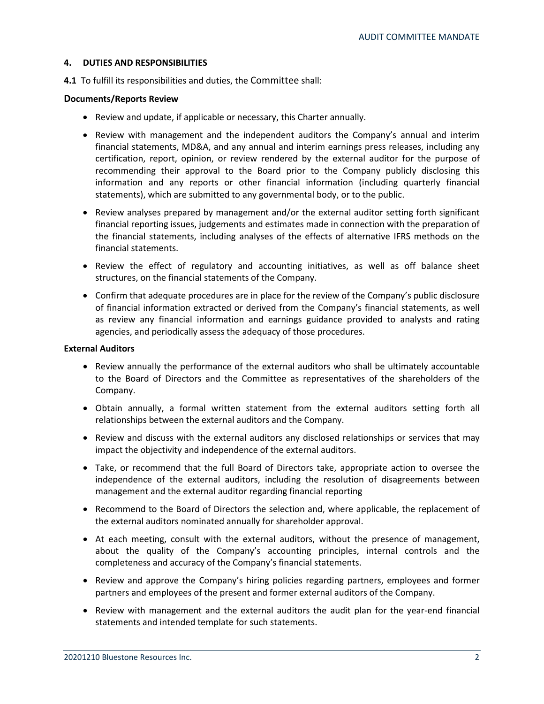# **4. DUTIES AND RESPONSIBILITIES**

**4.1** To fulfill its responsibilities and duties, the Committee shall:

# **Documents/Reports Review**

- Review and update, if applicable or necessary, this Charter annually.
- Review with management and the independent auditors the Company's annual and interim financial statements, MD&A, and any annual and interim earnings press releases, including any certification, report, opinion, or review rendered by the external auditor for the purpose of recommending their approval to the Board prior to the Company publicly disclosing this information and any reports or other financial information (including quarterly financial statements), which are submitted to any governmental body, or to the public.
- Review analyses prepared by management and/or the external auditor setting forth significant financial reporting issues, judgements and estimates made in connection with the preparation of the financial statements, including analyses of the effects of alternative IFRS methods on the financial statements.
- Review the effect of regulatory and accounting initiatives, as well as off balance sheet structures, on the financial statements of the Company.
- Confirm that adequate procedures are in place for the review of the Company's public disclosure of financial information extracted or derived from the Company's financial statements, as well as review any financial information and earnings guidance provided to analysts and rating agencies, and periodically assess the adequacy of those procedures.

#### **External Auditors**

- Review annually the performance of the external auditors who shall be ultimately accountable to the Board of Directors and the Committee as representatives of the shareholders of the Company.
- Obtain annually, a formal written statement from the external auditors setting forth all relationships between the external auditors and the Company.
- Review and discuss with the external auditors any disclosed relationships or services that may impact the objectivity and independence of the external auditors.
- Take, or recommend that the full Board of Directors take, appropriate action to oversee the independence of the external auditors, including the resolution of disagreements between management and the external auditor regarding financial reporting
- Recommend to the Board of Directors the selection and, where applicable, the replacement of the external auditors nominated annually for shareholder approval.
- At each meeting, consult with the external auditors, without the presence of management, about the quality of the Company's accounting principles, internal controls and the completeness and accuracy of the Company's financial statements.
- Review and approve the Company's hiring policies regarding partners, employees and former partners and employees of the present and former external auditors of the Company.
- Review with management and the external auditors the audit plan for the year-end financial statements and intended template for such statements.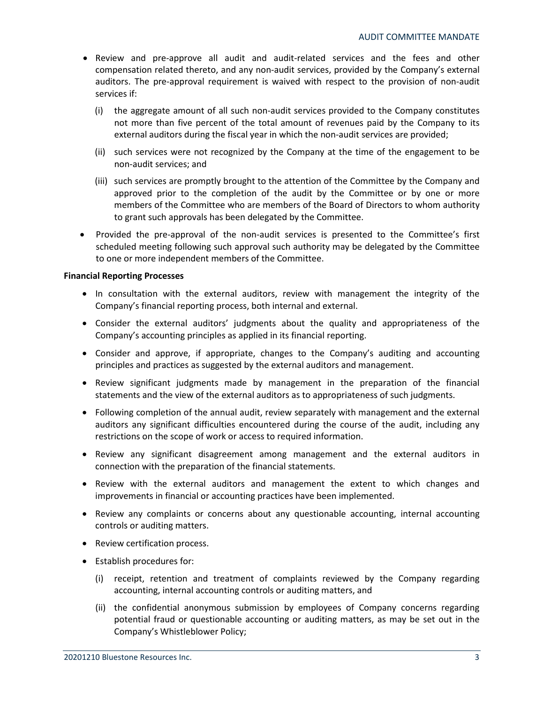- Review and pre-approve all audit and audit-related services and the fees and other compensation related thereto, and any non-audit services, provided by the Company's external auditors. The pre-approval requirement is waived with respect to the provision of non-audit services if:
	- (i) the aggregate amount of all such non-audit services provided to the Company constitutes not more than five percent of the total amount of revenues paid by the Company to its external auditors during the fiscal year in which the non-audit services are provided;
	- (ii) such services were not recognized by the Company at the time of the engagement to be non-audit services; and
	- (iii) such services are promptly brought to the attention of the Committee by the Company and approved prior to the completion of the audit by the Committee or by one or more members of the Committee who are members of the Board of Directors to whom authority to grant such approvals has been delegated by the Committee.
- Provided the pre-approval of the non-audit services is presented to the Committee's first scheduled meeting following such approval such authority may be delegated by the Committee to one or more independent members of the Committee.

# **Financial Reporting Processes**

- In consultation with the external auditors, review with management the integrity of the Company's financial reporting process, both internal and external.
- Consider the external auditors' judgments about the quality and appropriateness of the Company's accounting principles as applied in its financial reporting.
- Consider and approve, if appropriate, changes to the Company's auditing and accounting principles and practices as suggested by the external auditors and management.
- Review significant judgments made by management in the preparation of the financial statements and the view of the external auditors as to appropriateness of such judgments.
- Following completion of the annual audit, review separately with management and the external auditors any significant difficulties encountered during the course of the audit, including any restrictions on the scope of work or access to required information.
- Review any significant disagreement among management and the external auditors in connection with the preparation of the financial statements.
- Review with the external auditors and management the extent to which changes and improvements in financial or accounting practices have been implemented.
- Review any complaints or concerns about any questionable accounting, internal accounting controls or auditing matters.
- Review certification process.
- Establish procedures for:
	- (i) receipt, retention and treatment of complaints reviewed by the Company regarding accounting, internal accounting controls or auditing matters, and
	- (ii) the confidential anonymous submission by employees of Company concerns regarding potential fraud or questionable accounting or auditing matters, as may be set out in the Company's Whistleblower Policy;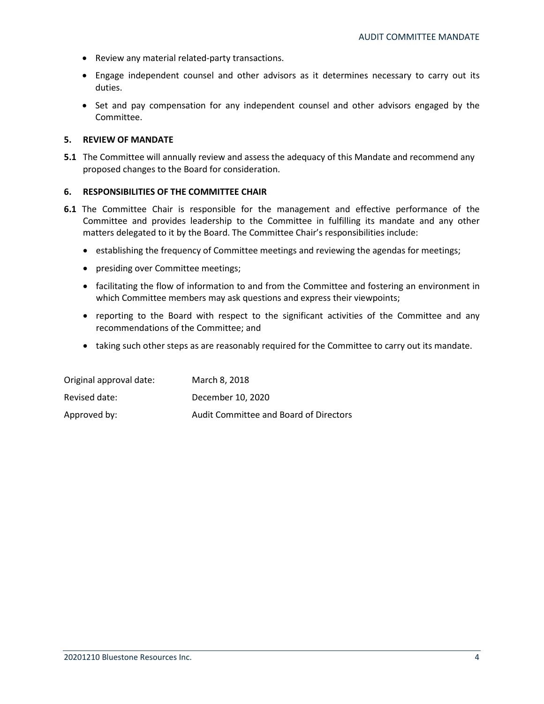- Review any material related-party transactions.
- Engage independent counsel and other advisors as it determines necessary to carry out its duties.
- Set and pay compensation for any independent counsel and other advisors engaged by the Committee.

## **5. REVIEW OF MANDATE**

**5.1** The Committee will annually review and assess the adequacy of this Mandate and recommend any proposed changes to the Board for consideration.

# **6. RESPONSIBILITIES OF THE COMMITTEE CHAIR**

- **6.1** The Committee Chair is responsible for the management and effective performance of the Committee and provides leadership to the Committee in fulfilling its mandate and any other matters delegated to it by the Board. The Committee Chair's responsibilities include:
	- establishing the frequency of Committee meetings and reviewing the agendas for meetings;
	- presiding over Committee meetings;
	- facilitating the flow of information to and from the Committee and fostering an environment in which Committee members may ask questions and express their viewpoints;
	- reporting to the Board with respect to the significant activities of the Committee and any recommendations of the Committee; and
	- taking such other steps as are reasonably required for the Committee to carry out its mandate.

| Original approval date: | March 8, 2018                          |
|-------------------------|----------------------------------------|
| Revised date:           | December 10, 2020                      |
| Approved by:            | Audit Committee and Board of Directors |